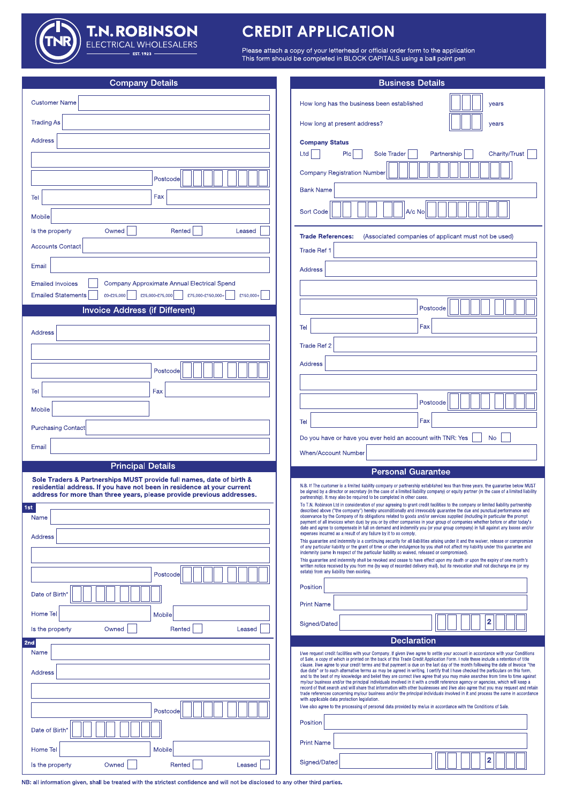**T.N. ROBINSON**<br>ELECTRICAL WHOLESALERS

# **CREDIT APPLICATION**

Please attach a copy of your letterhead or official order form to the application<br>This form should be completed in BLOCK CAPITALS using a ball point pen

| <b>Company Details</b>                                                                                                                         | <b>Business Details</b>                                                                                                                                                                                                                                                                                                                                                                                                                                                                                                                   |
|------------------------------------------------------------------------------------------------------------------------------------------------|-------------------------------------------------------------------------------------------------------------------------------------------------------------------------------------------------------------------------------------------------------------------------------------------------------------------------------------------------------------------------------------------------------------------------------------------------------------------------------------------------------------------------------------------|
| <b>Customer Name</b>                                                                                                                           | How long has the business been established<br>years                                                                                                                                                                                                                                                                                                                                                                                                                                                                                       |
| <b>Trading As</b>                                                                                                                              | How long at present address?<br>years                                                                                                                                                                                                                                                                                                                                                                                                                                                                                                     |
| <b>Address</b>                                                                                                                                 | <b>Company Status</b>                                                                                                                                                                                                                                                                                                                                                                                                                                                                                                                     |
|                                                                                                                                                | Plc<br>Ltd<br><b>Sole Trader</b><br>Partnership<br><b>Charity/Trust</b>                                                                                                                                                                                                                                                                                                                                                                                                                                                                   |
| Postcode                                                                                                                                       | <b>Company Registration Number</b>                                                                                                                                                                                                                                                                                                                                                                                                                                                                                                        |
| Fax<br>Tel                                                                                                                                     | <b>Bank Name</b>                                                                                                                                                                                                                                                                                                                                                                                                                                                                                                                          |
| Mobile                                                                                                                                         | A/c No<br><b>Sort Code</b>                                                                                                                                                                                                                                                                                                                                                                                                                                                                                                                |
| Owned<br>Rented<br>Is the property<br>Leased                                                                                                   | <b>Trade References:</b><br>(Associated companies of applicant must not be used)                                                                                                                                                                                                                                                                                                                                                                                                                                                          |
| <b>Accounts Contact</b>                                                                                                                        | Trade Ref 1                                                                                                                                                                                                                                                                                                                                                                                                                                                                                                                               |
| Email                                                                                                                                          | <b>Address</b>                                                                                                                                                                                                                                                                                                                                                                                                                                                                                                                            |
| Company Approximate Annual Electrical Spend<br><b>Emailed Invoices</b>                                                                         |                                                                                                                                                                                                                                                                                                                                                                                                                                                                                                                                           |
| <b>Emailed Statements</b><br>£0-£25,000<br>£25,000-£75,000<br>£75,000-£150,000+<br>£150,000+<br><b>Invoice Address (if Different)</b>          | Postcode                                                                                                                                                                                                                                                                                                                                                                                                                                                                                                                                  |
|                                                                                                                                                | Fax<br>Tel                                                                                                                                                                                                                                                                                                                                                                                                                                                                                                                                |
| Address                                                                                                                                        | <b>Trade Ref 2</b>                                                                                                                                                                                                                                                                                                                                                                                                                                                                                                                        |
|                                                                                                                                                | <b>Address</b>                                                                                                                                                                                                                                                                                                                                                                                                                                                                                                                            |
| Postcode                                                                                                                                       |                                                                                                                                                                                                                                                                                                                                                                                                                                                                                                                                           |
| Fax<br>Tel                                                                                                                                     |                                                                                                                                                                                                                                                                                                                                                                                                                                                                                                                                           |
| Mobile                                                                                                                                         | Postcode                                                                                                                                                                                                                                                                                                                                                                                                                                                                                                                                  |
| <b>Purchasing Contact</b>                                                                                                                      | Fax<br>Tel<br>Do you have or have you ever held an account with TNR: Yes<br><b>No</b>                                                                                                                                                                                                                                                                                                                                                                                                                                                     |
| Email                                                                                                                                          | <b>When/Account Number</b>                                                                                                                                                                                                                                                                                                                                                                                                                                                                                                                |
| <b>Principal Details</b>                                                                                                                       | <b>Personal Guarantee</b>                                                                                                                                                                                                                                                                                                                                                                                                                                                                                                                 |
| Sole Traders & Partnerships MUST provide full names, date of birth &<br>residential address. If you have not been in residence at your current | N.B. If The customer is a limited liability company or partnership established less than three years, the quarantee below MUST<br>be signed by a director or secretary (in the case of a limited liability company) or equity partner (in the case of a limited liability                                                                                                                                                                                                                                                                 |
| address for more than three years, please provide previous addresses.<br>1st                                                                   | partnership). It may also be required to be completed in other cases.<br>To T.N. Robinson Ltd in consideration of your agreeing to grant credit facilities to the company or limited liability partnership<br>described above ("the company") hereby unconditionally and irrevocably guarantee the due and punctual performance and                                                                                                                                                                                                       |
| Name                                                                                                                                           | observance by the Company of its obligations related to goods and/or services supplied (including in particular the prompt<br>payment of all invoices when due) by you or by other companies in your group of companies whether before or after today's<br>date and agree to compensate in full on demand and indemnify you (or your group company) in full against any losses and/or                                                                                                                                                     |
| <b>Address</b>                                                                                                                                 | expenses incurred as a result of any failure by it to so comply.<br>This guarantee and indemnity is a continuing security for all liabilities arising under it and the waiver, release or compromise                                                                                                                                                                                                                                                                                                                                      |
|                                                                                                                                                | of any particular liability or the grant of time or other indulgence by you shall not affect my liability under this guarantee and<br>indemnity (same In respect of the particular liability so waived, released or compromised).<br>This guarantee and indemnity shall be revoked and cease to have effect upon my death or upon the expiry of one month's                                                                                                                                                                               |
| Postcode                                                                                                                                       | written notice received by you from me (by way of recorded delivery mail), but its revocation shall not discharge me (or my<br>estate) from any liability then existing.                                                                                                                                                                                                                                                                                                                                                                  |
| Date of Birth'                                                                                                                                 | Position                                                                                                                                                                                                                                                                                                                                                                                                                                                                                                                                  |
| <b>Home Tel</b><br>Mobile                                                                                                                      | <b>Print Name</b>                                                                                                                                                                                                                                                                                                                                                                                                                                                                                                                         |
| Owned<br>Rented<br>Is the property<br>Leased                                                                                                   | 2<br>Signed/Dated                                                                                                                                                                                                                                                                                                                                                                                                                                                                                                                         |
| 2nd<br>Name                                                                                                                                    | <b>Declaration</b>                                                                                                                                                                                                                                                                                                                                                                                                                                                                                                                        |
|                                                                                                                                                | I/we request credit facilities with your Company. If given I/we agree to settle your account in accordance with your Conditions<br>of Sale, a copy of which is printed on the back of this Trade Credit Application Form. I note these include a retention of title<br>clause. I/we agree to your credit terms and that payment is due on the last day of the month following the date of Invoice "the<br>due date" or to such alternative terms as may be agreed in writing. I certify that I have checked the particulars on this form, |
| <b>Address</b>                                                                                                                                 | and to the best of my knowledge and belief they are correct I/we agree that you may make searches from time to time against<br>my/our business and/or the principal individuals involved in it with a credit reference agency or agencies, which will keep a<br>record of that search and will share that information with other businesses and I/we also agree that you may request and retain                                                                                                                                           |
|                                                                                                                                                | trade references concerning my/our business and/or the principal individuals involved in it and process the same in accordance<br>with applicable data protection legislation.<br>I/we also agree to the processing of personal data provided by me/us in accordance with the Conditions of Sale.                                                                                                                                                                                                                                         |
| Postcode                                                                                                                                       | Position                                                                                                                                                                                                                                                                                                                                                                                                                                                                                                                                  |
| Date of Birth'                                                                                                                                 | <b>Print Name</b>                                                                                                                                                                                                                                                                                                                                                                                                                                                                                                                         |
| Mobile<br>Home Tel                                                                                                                             | 2<br>Signed/Dated                                                                                                                                                                                                                                                                                                                                                                                                                                                                                                                         |
| Owned<br>Rented<br>Leased<br>Is the property                                                                                                   |                                                                                                                                                                                                                                                                                                                                                                                                                                                                                                                                           |

NB: all information given, shall be treated with the strictest confidence and will not be disclosed to any other third parties.